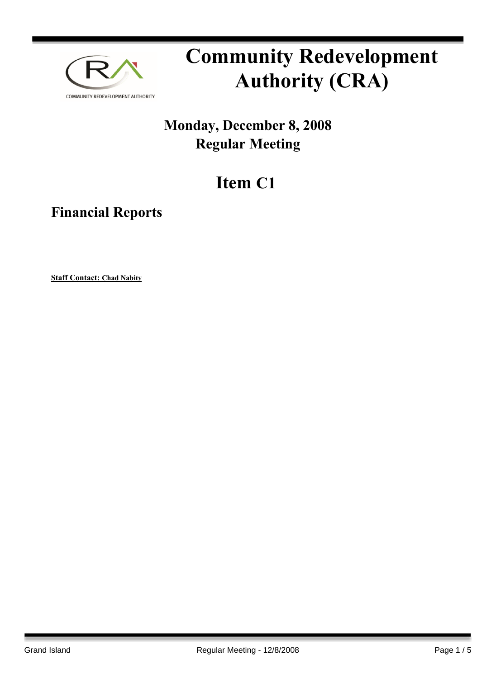

# **Community Redevelopment Authority (CRA)**

### **Monday, December 8, 2008 Regular Meeting**

## **Item C1**

**Financial Reports**

**Staff Contact: Chad Nabity**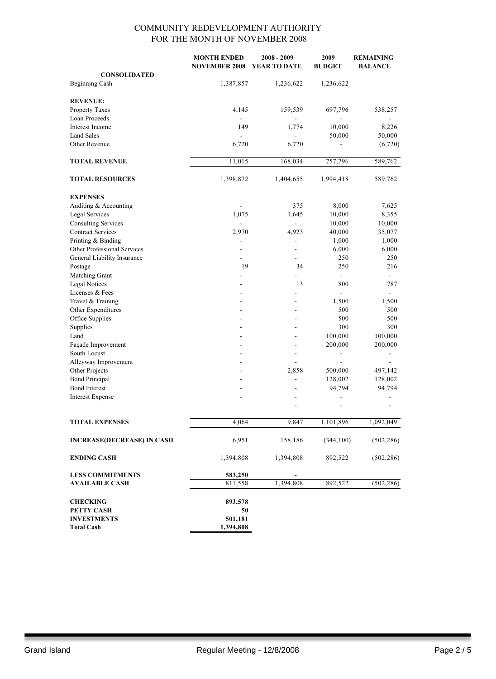|                                   | <b>MONTH ENDED</b>       | 2008 - 2009         | 2009          | <b>REMAINING</b> |
|-----------------------------------|--------------------------|---------------------|---------------|------------------|
|                                   | <b>NOVEMBER 2008</b>     | <b>YEAR TO DATE</b> | <b>BUDGET</b> | <b>BALANCE</b>   |
| <b>CONSOLIDATED</b>               |                          |                     |               |                  |
| <b>Beginning Cash</b>             | 1,387,857                | 1,236,622           | 1,236,622     |                  |
| <b>REVENUE:</b>                   |                          |                     |               |                  |
| Property Taxes                    | 4,145                    | 159,539             | 697,796       | 538,257          |
| Loan Proceeds                     |                          |                     |               |                  |
| Interest Income                   | 149                      | 1,774               | 10,000        | 8,226            |
| <b>Land Sales</b>                 | ÷.                       | $\overline{a}$      | 50,000        | 50,000           |
| Other Revenue                     | 6,720                    | 6,720               |               | (6,720)          |
| <b>TOTAL REVENUE</b>              | 11,015                   | 168,034             | 757,796       | 589,762          |
|                                   |                          |                     |               |                  |
| <b>TOTAL RESOURCES</b>            | 1,398,872                | 1,404,655           | 1,994,418     | 589,762          |
| <b>EXPENSES</b>                   |                          |                     |               |                  |
| Auditing & Accounting             | $\overline{\phantom{a}}$ | 375                 | 8,000         | 7,625            |
| <b>Legal Services</b>             | 1,075                    | 1,645               | 10,000        | 8,355            |
| <b>Consulting Services</b>        | $\overline{\phantom{a}}$ | $\frac{1}{2}$       | 10,000        | 10,000           |
| <b>Contract Services</b>          | 2,970                    | 4,923               | 40,000        | 35,077           |
| Printing & Binding                |                          | $\overline{a}$      | 1,000         | 1,000            |
| Other Professional Services       | $\overline{\phantom{a}}$ | $\blacksquare$      | 6,000         | 6,000            |
| General Liability Insurance       |                          | $\blacksquare$      | 250           | 250              |
| Postage                           | 19                       | 34                  | 250           | 216              |
| Matching Grant                    |                          | $\overline{a}$      |               |                  |
| <b>Legal Notices</b>              | $\overline{a}$           | 13                  | 800           | 787              |
| Licenses & Fees                   | $\blacksquare$           |                     |               |                  |
| Travel & Training                 |                          |                     | 1,500         | 1,500            |
| Other Expenditures                |                          |                     | 500           | 500              |
| Office Supplies                   |                          |                     | 500           | 500              |
| Supplies                          | $\overline{a}$           | $\sim$              | 300           | 300              |
| Land                              | $\overline{a}$           | ÷                   | 100,000       | 100,000          |
| Façade Improvement                |                          | $\blacksquare$      | 200,000       | 200,000          |
| South Locust                      |                          |                     |               |                  |
| Alleyway Improvement              |                          | ÷.                  |               |                  |
| Other Projects                    | $\blacksquare$           | 2,858               | 500,000       | 497,142          |
| <b>Bond Principal</b>             | ۰                        |                     | 128,002       | 128,002          |
| <b>Bond Interest</b>              | $\overline{a}$           |                     | 94,794        | 94,794           |
| <b>Interest Expense</b>           | ÷                        |                     |               |                  |
|                                   |                          |                     |               |                  |
| <b>TOTAL EXPENSES</b>             | 4,064                    | 9,847               | 1,101,896     | 1,092,049        |
|                                   |                          |                     |               |                  |
| <b>INCREASE(DECREASE) IN CASH</b> | 6,951                    | 158,186             | (344, 100)    | (502, 286)       |
| <b>ENDING CASH</b>                | 1,394,808                | 1,394,808           | 892,522       | (502, 286)       |
| <b>LESS COMMITMENTS</b>           | 583,250                  |                     |               |                  |
| <b>AVAILABLE CASH</b>             | 811,558                  | 1,394,808           | 892,522       | (502, 286)       |
| <b>CHECKING</b>                   | 893,578                  |                     |               |                  |
| PETTY CASH                        | 50                       |                     |               |                  |
| <b>INVESTMENTS</b>                | 501,181                  |                     |               |                  |
| <b>Total Cash</b>                 | 1,394,808                |                     |               |                  |
|                                   |                          |                     |               |                  |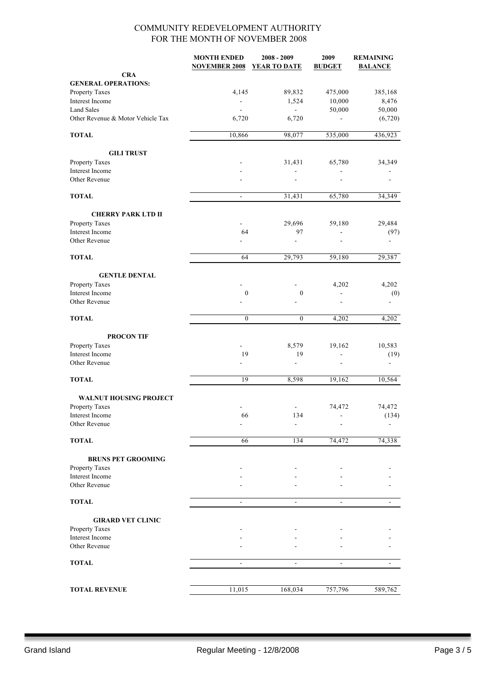|                                   | <b>MONTH ENDED</b><br><b>NOVEMBER 2008</b> | $2008 - 2009$<br>YEAR TO DATE | 2009<br><b>BUDGET</b>    | <b>REMAINING</b><br><b>BALANCE</b> |
|-----------------------------------|--------------------------------------------|-------------------------------|--------------------------|------------------------------------|
| <b>CRA</b>                        |                                            |                               |                          |                                    |
| <b>GENERAL OPERATIONS:</b>        |                                            |                               |                          |                                    |
| Property Taxes                    | 4,145                                      | 89,832                        | 475,000                  | 385,168                            |
| Interest Income                   | $\blacksquare$                             | 1,524                         | 10,000                   | 8,476                              |
| <b>Land Sales</b>                 | $\blacksquare$                             | ÷,                            | 50,000                   | 50,000                             |
| Other Revenue & Motor Vehicle Tax | 6,720                                      | 6,720                         |                          | (6,720)                            |
| <b>TOTAL</b>                      | 10,866                                     | 98,077                        | 535,000                  | 436,923                            |
| <b>GILI TRUST</b>                 |                                            |                               |                          |                                    |
| Property Taxes                    |                                            | 31,431                        | 65,780                   | 34,349                             |
| Interest Income                   |                                            |                               |                          |                                    |
| Other Revenue                     |                                            |                               |                          |                                    |
| <b>TOTAL</b>                      | $\blacksquare$                             | 31,431                        | 65,780                   | 34,349                             |
| <b>CHERRY PARK LTD II</b>         |                                            |                               |                          |                                    |
| Property Taxes                    |                                            | 29,696                        | 59,180                   | 29,484                             |
| Interest Income                   | 64                                         | 97                            |                          | (97)                               |
| Other Revenue                     |                                            | $\overline{a}$                |                          | $\overline{\phantom{a}}$           |
| <b>TOTAL</b>                      | 64                                         | 29,793                        | 59,180                   | 29,387                             |
| <b>GENTLE DENTAL</b>              |                                            |                               |                          |                                    |
| Property Taxes                    |                                            |                               | 4,202                    | 4,202                              |
| Interest Income                   | $\boldsymbol{0}$                           | $\boldsymbol{0}$              |                          | (0)                                |
| Other Revenue                     |                                            |                               |                          |                                    |
| <b>TOTAL</b>                      | $\boldsymbol{0}$                           | $\boldsymbol{0}$              | 4,202                    | 4,202                              |
| <b>PROCON TIF</b>                 |                                            |                               |                          |                                    |
| Property Taxes                    |                                            | 8,579                         | 19,162                   | 10,583                             |
| Interest Income                   | 19                                         | 19                            |                          | (19)                               |
| Other Revenue                     |                                            | L,                            |                          |                                    |
| <b>TOTAL</b>                      | 19                                         | 8,598                         | 19,162                   | 10,564                             |
| <b>WALNUT HOUSING PROJECT</b>     |                                            |                               |                          |                                    |
| Property Taxes                    |                                            |                               | 74,472                   | 74,472                             |
| Interest Income                   | 66                                         | 134                           |                          | (134)                              |
| Other Revenue                     |                                            |                               |                          |                                    |
| <b>TOTAL</b>                      | 66                                         | 134                           | 74,472                   | 74,338                             |
| <b>BRUNS PET GROOMING</b>         |                                            |                               |                          |                                    |
| Property Taxes                    |                                            |                               |                          |                                    |
| Interest Income                   |                                            |                               |                          |                                    |
| Other Revenue                     |                                            |                               |                          |                                    |
| <b>TOTAL</b>                      | $\overline{\phantom{a}}$                   | $\overline{\phantom{a}}$      | $\overline{\phantom{a}}$ |                                    |
| <b>GIRARD VET CLINIC</b>          |                                            |                               |                          |                                    |
| Property Taxes                    |                                            |                               |                          |                                    |
| Interest Income                   |                                            |                               |                          |                                    |
| Other Revenue                     |                                            |                               |                          |                                    |
| <b>TOTAL</b>                      |                                            |                               |                          |                                    |
|                                   |                                            |                               |                          |                                    |
| <b>TOTAL REVENUE</b>              | 11,015                                     | 168,034                       | 757,796                  | 589,762                            |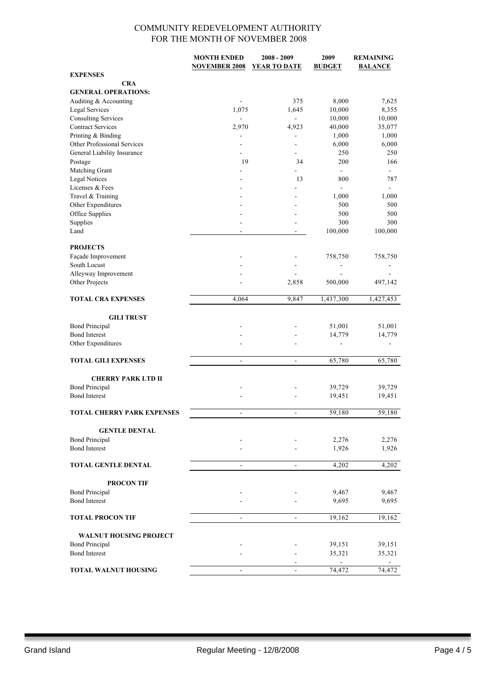|                                   | <b>MONTH ENDED</b>       | $2008 - 2009$            | 2009           | <b>REMAINING</b>         |
|-----------------------------------|--------------------------|--------------------------|----------------|--------------------------|
|                                   | <b>NOVEMBER 2008</b>     | YEAR TO DATE             | <b>BUDGET</b>  | <b>BALANCE</b>           |
| <b>EXPENSES</b>                   |                          |                          |                |                          |
| <b>CRA</b>                        |                          |                          |                |                          |
| <b>GENERAL OPERATIONS:</b>        |                          |                          |                |                          |
| Auditing & Accounting             |                          | 375                      | 8,000          | 7,625                    |
|                                   |                          |                          |                |                          |
| <b>Legal Services</b>             | 1,075                    | 1,645                    | 10,000         | 8,355                    |
| <b>Consulting Services</b>        |                          | ÷,                       | 10,000         | 10,000                   |
| <b>Contract Services</b>          | 2,970                    | 4,923                    | 40,000         | 35,077                   |
| Printing & Binding                |                          | -                        | 1,000          | 1,000                    |
| Other Professional Services       |                          | $\overline{a}$           | 6,000          | 6,000                    |
| General Liability Insurance       | ä,                       | $\overline{\phantom{a}}$ | 250            | 250                      |
| Postage                           | 19                       | 34                       | 200            | 166                      |
| Matching Grant                    |                          |                          | $\blacksquare$ | $\blacksquare$           |
| <b>Legal Notices</b>              |                          | 13                       | 800            | 787                      |
| Licenses & Fees                   | ٠                        | $\overline{a}$           | ÷,             | $\blacksquare$           |
| Travel & Training                 |                          |                          | 1,000          | 1,000                    |
|                                   |                          |                          |                |                          |
| Other Expenditures                |                          |                          | 500            | 500                      |
| Office Supplies                   |                          |                          | 500            | 500                      |
| Supplies                          |                          |                          | 300            | 300                      |
| Land                              |                          | $\overline{\phantom{a}}$ | 100,000        | 100,000                  |
|                                   |                          |                          |                |                          |
| <b>PROJECTS</b>                   |                          |                          |                |                          |
| Façade Improvement                |                          |                          | 758,750        | 758,750                  |
| South Locust                      |                          | $\overline{a}$           |                |                          |
| Alleyway Improvement              |                          |                          |                |                          |
| Other Projects                    |                          | 2,858                    | 500,000        | 497,142                  |
|                                   |                          |                          |                |                          |
| <b>TOTAL CRA EXPENSES</b>         |                          | 9,847                    |                |                          |
|                                   | 4,064                    |                          | 1,437,300      | 1,427,453                |
|                                   |                          |                          |                |                          |
| <b>GILI TRUST</b>                 |                          |                          |                |                          |
| <b>Bond Principal</b>             |                          |                          | 51,001         | 51,001                   |
| <b>Bond Interest</b>              |                          |                          | 14,779         | 14,779                   |
| Other Expenditures                |                          |                          |                | $\overline{\phantom{a}}$ |
|                                   |                          |                          |                |                          |
| <b>TOTAL GILI EXPENSES</b>        | $\blacksquare$           | $\overline{\phantom{a}}$ | 65,780         | 65,780                   |
|                                   |                          |                          |                |                          |
|                                   |                          |                          |                |                          |
| <b>CHERRY PARK LTD II</b>         |                          |                          |                |                          |
| <b>Bond Principal</b>             |                          |                          | 39,729         | 39,729                   |
| <b>Bond Interest</b>              |                          |                          | 19,451         | 19,451                   |
|                                   |                          |                          |                |                          |
| <b>TOTAL CHERRY PARK EXPENSES</b> |                          |                          | 59,180         | 59,180                   |
|                                   |                          |                          |                |                          |
| <b>GENTLE DENTAL</b>              |                          |                          |                |                          |
| <b>Bond Principal</b>             |                          |                          | 2,276          | 2,276                    |
| <b>Bond Interest</b>              |                          |                          | 1,926          | 1,926                    |
|                                   |                          |                          |                |                          |
| <b>TOTAL GENTLE DENTAL</b>        | $\blacksquare$           | $\blacksquare$           | 4,202          | 4,202                    |
|                                   |                          |                          |                |                          |
|                                   |                          |                          |                |                          |
| <b>PROCON TIF</b>                 |                          |                          |                |                          |
| <b>Bond Principal</b>             |                          |                          | 9,467          | 9,467                    |
| <b>Bond Interest</b>              |                          |                          | 9,695          | 9,695                    |
|                                   |                          |                          |                |                          |
| <b>TOTAL PROCON TIF</b>           |                          | $\overline{\phantom{a}}$ | 19,162         | 19,162                   |
|                                   |                          |                          |                |                          |
| <b>WALNUT HOUSING PROJECT</b>     |                          |                          |                |                          |
|                                   |                          |                          |                |                          |
| <b>Bond Principal</b>             |                          |                          | 39,151         | 39,151                   |
| <b>Bond Interest</b>              |                          |                          | 35,321         | 35,321                   |
|                                   |                          | ٠                        |                |                          |
| <b>TOTAL WALNUT HOUSING</b>       | $\overline{\phantom{a}}$ | $\overline{\phantom{a}}$ | 74,472         | 74,472                   |